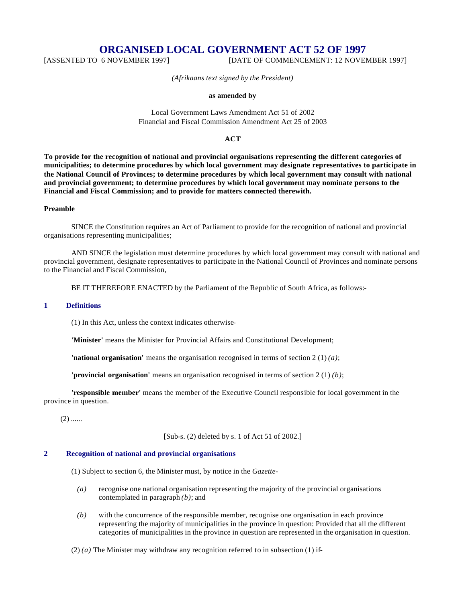# **ORGANISED LOCAL GOVERNMENT ACT 52 OF 1997**

[ASSENTED TO 6 NOVEMBER 1997] [DATE OF COMMENCEMENT: 12 NOVEMBER 1997]

*(Afrikaans text signed by the President)*

#### **as amended by**

Local Government Laws Amendment Act 51 of 2002 Financial and Fiscal Commission Amendment Act 25 of 2003

## **ACT**

**To provide for the recognition of national and provincial organisations representing the different categories of municipalities; to determine procedures by which local government may designate representatives to participate in the National Council of Provinces; to determine procedures by which local government may consult with national and provincial government; to determine procedures by which local government may nominate persons to the Financial and Fiscal Commission; and to provide for matters connected therewith.**

### **Preamble**

SINCE the Constitution requires an Act of Parliament to provide for the recognition of national and provincial organisations representing municipalities;

AND SINCE the legislation must determine procedures by which local government may consult with national and provincial government, designate representatives to participate in the National Council of Provinces and nominate persons to the Financial and Fiscal Commission,

BE IT THEREFORE ENACTED by the Parliament of the Republic of South Africa, as follows:-

### **1 Definitions**

(1) In this Act, unless the context indicates otherwise-

**'Minister'** means the Minister for Provincial Affairs and Constitutional Development;

**'national organisation'** means the organisation recognised in terms of section 2 (1) *(a)*;

**'provincial organisation'** means an organisation recognised in terms of section 2 (1) *(b)*;

**'responsible member'** means the member of the Executive Council responsible for local government in the province in question.

 $(2)$  ......

[Sub-s. (2) deleted by s. 1 of Act 51 of 2002.]

#### **2 Recognition of national and provincial organisations**

(1) Subject to section 6, the Minister must, by notice in the *Gazette*-

- *(a)* recognise one national organisation representing the majority of the provincial organisations contemplated in paragraph *(b)*; and
- *(b)* with the concurrence of the responsible member, recognise one organisation in each province representing the majority of municipalities in the province in question: Provided that all the different categories of municipalities in the province in question are represented in the organisation in question.

(2) *(a)* The Minister may withdraw any recognition referred to in subsection (1) if-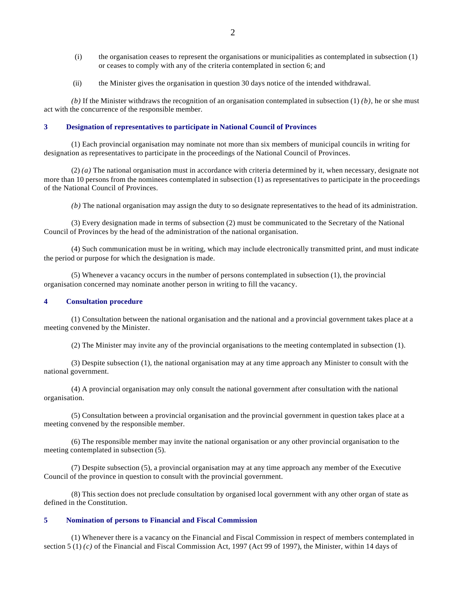- (i) the organisation ceases to represent the organisations or municipalities as contemplated in subsection (1) or ceases to comply with any of the criteria contemplated in section 6; and
- (ii) the Minister gives the organisation in question 30 days notice of the intended withdrawal.

 $(b)$  If the Minister withdraws the recognition of an organisation contemplated in subsection  $(1)$   $(b)$ , he or she must act with the concurrence of the responsible member.

#### **3 Designation of representatives to participate in National Council of Provinces**

(1) Each provincial organisation may nominate not more than six members of municipal councils in writing for designation as representatives to participate in the proceedings of the National Council of Provinces.

(2) *(a)* The national organisation must in accordance with criteria determined by it, when necessary, designate not more than 10 persons from the nominees contemplated in subsection (1) as representatives to participate in the proceedings of the National Council of Provinces.

*(b)* The national organisation may assign the duty to so designate representatives to the head of its administration.

(3) Every designation made in terms of subsection (2) must be communicated to the Secretary of the National Council of Provinces by the head of the administration of the national organisation.

(4) Such communication must be in writing, which may include electronically transmitted print, and must indicate the period or purpose for which the designation is made.

(5) Whenever a vacancy occurs in the number of persons contemplated in subsection (1), the provincial organisation concerned may nominate another person in writing to fill the vacancy.

## **4 Consultation procedure**

(1) Consultation between the national organisation and the national and a provincial government takes place at a meeting convened by the Minister.

(2) The Minister may invite any of the provincial organisations to the meeting contemplated in subsection (1).

(3) Despite subsection (1), the national organisation may at any time approach any Minister to consult with the national government.

(4) A provincial organisation may only consult the national government after consultation with the national organisation.

(5) Consultation between a provincial organisation and the provincial government in question takes place at a meeting convened by the responsible member.

(6) The responsible member may invite the national organisation or any other provincial organisation to the meeting contemplated in subsection (5).

(7) Despite subsection (5), a provincial organisation may at any time approach any member of the Executive Council of the province in question to consult with the provincial government.

(8) This section does not preclude consultation by organised local government with any other organ of state as defined in the Constitution.

### **5 Nomination of persons to Financial and Fiscal Commission**

(1) Whenever there is a vacancy on the Financial and Fiscal Commission in respect of members contemplated in section 5 (1) *(c)* of the Financial and Fiscal Commission Act, 1997 (Act 99 of 1997), the Minister, within 14 days of